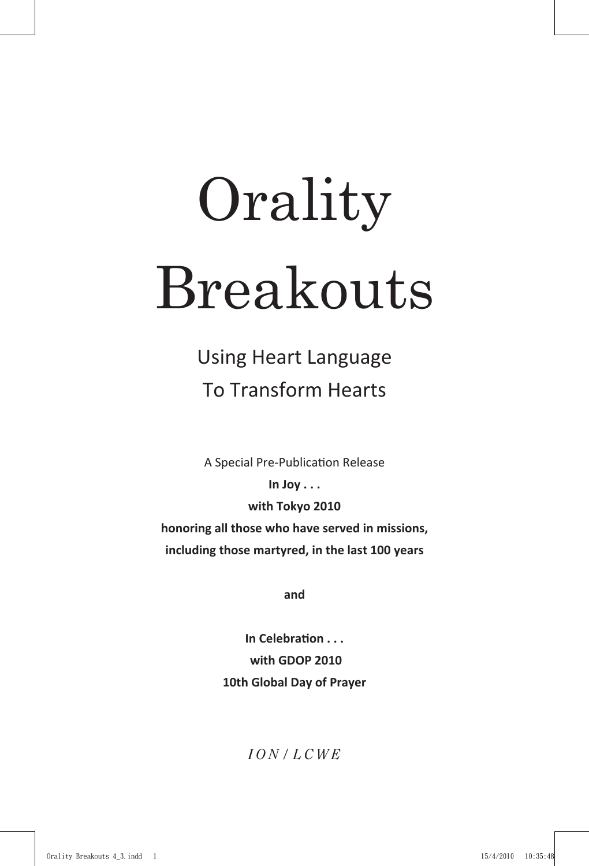## **Orality** Breakouts

Using Heart Language To Transform Hearts

A Special Pre-Publication Release

**In Joy . . . with Tokyo 2010 honoring all those who have served in missions, including those martyred, in the last 100 years**

**and**

**In Celebration . . . with GDOP 2010 10th Global Day of Prayer**

## *I O N / L C W E*